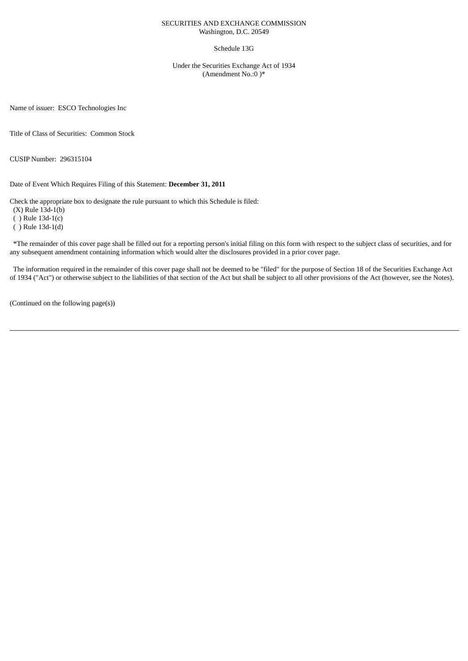#### SECURITIES AND EXCHANGE COMMISSION Washington, D.C. 20549

#### Schedule 13G

Under the Securities Exchange Act of 1934 (Amendment No.:0 )\*

Name of issuer: ESCO Technologies Inc

Title of Class of Securities: Common Stock

CUSIP Number: 296315104

Date of Event Which Requires Filing of this Statement: **December 31, 2011**

Check the appropriate box to designate the rule pursuant to which this Schedule is filed:

(X) Rule 13d-1(b)

( ) Rule 13d-1(c)

( ) Rule 13d-1(d)

\*The remainder of this cover page shall be filled out for a reporting person's initial filing on this form with respect to the subject class of securities, and for any subsequent amendment containing information which would alter the disclosures provided in a prior cover page.

The information required in the remainder of this cover page shall not be deemed to be "filed" for the purpose of Section 18 of the Securities Exchange Act of 1934 ("Act") or otherwise subject to the liabilities of that section of the Act but shall be subject to all other provisions of the Act (however, see the Notes).

(Continued on the following page(s))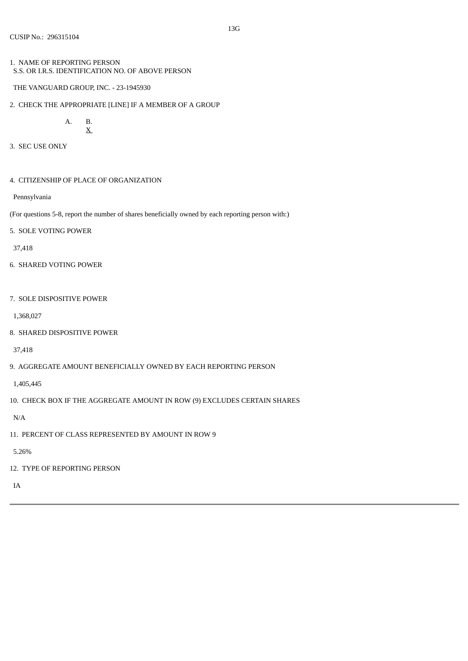- 1. NAME OF REPORTING PERSON S.S. OR I.R.S. IDENTIFICATION NO. OF ABOVE PERSON
- THE VANGUARD GROUP, INC. 23-1945930
- 2. CHECK THE APPROPRIATE [LINE] IF A MEMBER OF A GROUP

```
A. B.
X
```
- 3. SEC USE ONLY
- 4. CITIZENSHIP OF PLACE OF ORGANIZATION

Pennsylvania

(For questions 5-8, report the number of shares beneficially owned by each reporting person with:)

5. SOLE VOTING POWER

37,418

- 6. SHARED VOTING POWER
- 7. SOLE DISPOSITIVE POWER

1,368,027

8. SHARED DISPOSITIVE POWER

37,418

9. AGGREGATE AMOUNT BENEFICIALLY OWNED BY EACH REPORTING PERSON

1,405,445

10. CHECK BOX IF THE AGGREGATE AMOUNT IN ROW (9) EXCLUDES CERTAIN SHARES

N/A

11. PERCENT OF CLASS REPRESENTED BY AMOUNT IN ROW 9

5.26%

12. TYPE OF REPORTING PERSON

IA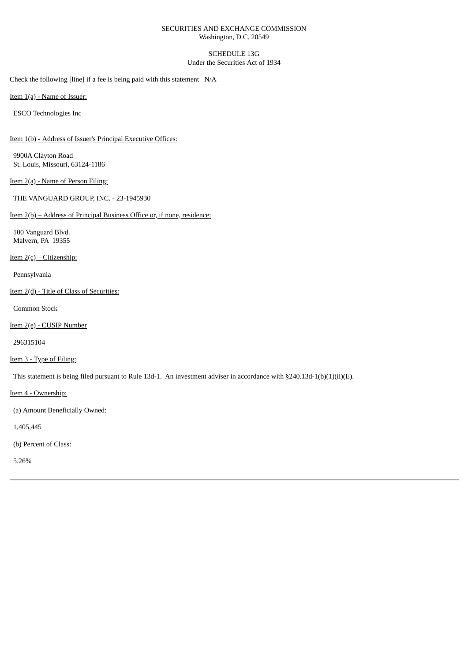# SECURITIES AND EXCHANGE COMMISSION Washington, D.C. 20549

# SCHEDULE 13G Under the Securities Act of 1934

Check the following [line] if a fee is being paid with this statement N/A

Item 1(a) - Name of Issuer:

ESCO Technologies Inc

Item 1(b) - Address of Issuer's Principal Executive Offices:

9900A Clayton Road St. Louis, Missouri, 63124-1186

Item 2(a) - Name of Person Filing:

THE VANGUARD GROUP, INC. - 23-1945930

## Item 2(b) – Address of Principal Business Office or, if none, residence:

100 Vanguard Blvd. Malvern, PA 19355

Item  $2(c)$  – Citizenship:

Pennsylvania

Item 2(d) - Title of Class of Securities:

Common Stock

Item 2(e) - CUSIP Number

296315104

Item 3 - Type of Filing:

This statement is being filed pursuant to Rule 13d-1. An investment adviser in accordance with §240.13d-1(b)(1)(ii)(E).

Item 4 - Ownership:

(a) Amount Beneficially Owned:

1,405,445

(b) Percent of Class:

5.26%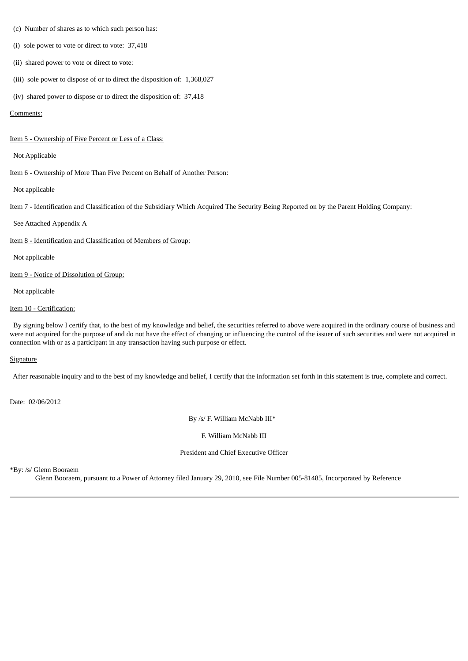- (c) Number of shares as to which such person has:
- (i) sole power to vote or direct to vote: 37,418
- (ii) shared power to vote or direct to vote:
- (iii) sole power to dispose of or to direct the disposition of: 1,368,027
- (iv) shared power to dispose or to direct the disposition of: 37,418

### Comments:

#### Item 5 - Ownership of Five Percent or Less of a Class:

### Not Applicable

Item 6 - Ownership of More Than Five Percent on Behalf of Another Person:

Not applicable

Item 7 - Identification and Classification of the Subsidiary Which Acquired The Security Being Reported on by the Parent Holding Company:

See Attached Appendix A

Item 8 - Identification and Classification of Members of Group:

Not applicable

Item 9 - Notice of Dissolution of Group:

Not applicable

# Item 10 - Certification:

By signing below I certify that, to the best of my knowledge and belief, the securities referred to above were acquired in the ordinary course of business and were not acquired for the purpose of and do not have the effect of changing or influencing the control of the issuer of such securities and were not acquired in connection with or as a participant in any transaction having such purpose or effect.

# **Signature**

After reasonable inquiry and to the best of my knowledge and belief, I certify that the information set forth in this statement is true, complete and correct.

Date: 02/06/2012

By /s/ F. William McNabb III\*

F. William McNabb III

President and Chief Executive Officer

\*By: /s/ Glenn Booraem

Glenn Booraem, pursuant to a Power of Attorney filed January 29, 2010, see File Number 005-81485, Incorporated by Reference